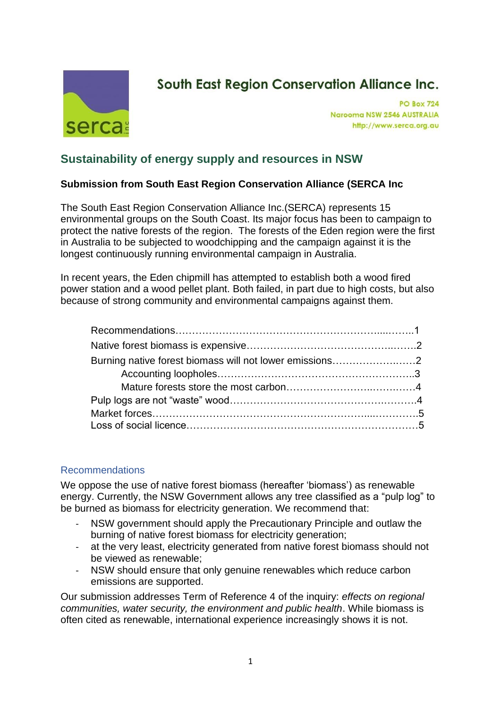

# **South East Region Conservation Alliance Inc.**

**PO Box 724** Narooma NSW 2546 AUSTRALIA http://www.serca.org.au

# **Sustainability of energy supply and resources in NSW**

# **Submission from South East Region Conservation Alliance (SERCA Inc**

The South East Region Conservation Alliance Inc.(SERCA) represents 15 environmental groups on the South Coast. Its major focus has been to campaign to protect the native forests of the region. The forests of the Eden region were the first in Australia to be subjected to woodchipping and the campaign against it is the longest continuously running environmental campaign in Australia.

In recent years, the Eden chipmill has attempted to establish both a wood fired power station and a wood pellet plant. Both failed, in part due to high costs, but also because of strong community and environmental campaigns against them.

| Burning native forest biomass will not lower emissions2 |  |
|---------------------------------------------------------|--|
|                                                         |  |
|                                                         |  |
|                                                         |  |
|                                                         |  |
|                                                         |  |

#### Recommendations

We oppose the use of native forest biomass (hereafter 'biomass') as renewable energy. Currently, the NSW Government allows any tree classified as a "pulp log" to be burned as biomass for electricity generation. We recommend that:

- NSW government should apply the Precautionary Principle and outlaw the burning of native forest biomass for electricity generation;
- at the very least, electricity generated from native forest biomass should not be viewed as renewable;
- NSW should ensure that only genuine renewables which reduce carbon emissions are supported.

Our submission addresses Term of Reference 4 of the inquiry: *effects on regional communities, water security, the environment and public health*. While biomass is often cited as renewable, international experience increasingly shows it is not.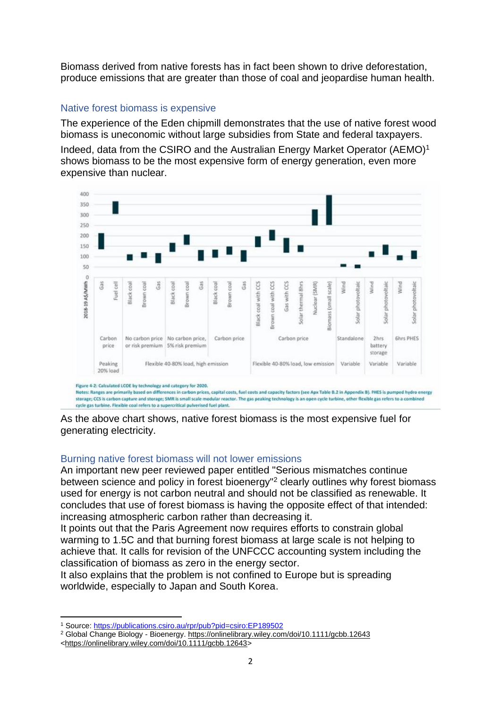Biomass derived from native forests has in fact been shown to drive deforestation, produce emissions that are greater than those of coal and jeopardise human health.

## Native forest biomass is expensive

The experience of the Eden chipmill demonstrates that the use of native forest wood biomass is uneconomic without large subsidies from State and federal taxpayers.

Indeed, data from the CSIRO and the Australian Energy Market Operator (AEMO)<sup>1</sup> shows biomass to be the most expensive form of energy generation, even more expensive than nuclear.



Notes: Ranges are primarily based on differences in carbon prices, capital costs, fuel costs and capacity factors (see Apx Table B.2 in Appendix B). PHES is pumped hydro energy storage; CCS is carbon capture and storage; SMR is small scale modular reactor. The gas peaking technology is an open cycle turbine, other flexible gas refers to a combined cycle gas turbine. Flexible coal refers to a supercritical pulverised fuel plant.

As the above chart shows, native forest biomass is the most expensive fuel for generating electricity.

### Burning native forest biomass will not lower emissions

An important new peer reviewed paper entitled "Serious mismatches continue between science and policy in forest bioenergy"<sup>2</sup> clearly outlines why forest biomass used for energy is not carbon neutral and should not be classified as renewable. It concludes that use of forest biomass is having the opposite effect of that intended: increasing atmospheric carbon rather than decreasing it.

It points out that the Paris Agreement now requires efforts to constrain global warming to 1.5C and that burning forest biomass at large scale is not helping to achieve that. It calls for revision of the UNFCCC accounting system including the classification of biomass as zero in the energy sector.

It also explains that the problem is not confined to Europe but is spreading worldwide, especially to Japan and South Korea.

<sup>1</sup> Source:<https://publications.csiro.au/rpr/pub?pid=csiro:EP189502>

<sup>&</sup>lt;sup>2</sup> Global Change Biology - Bioenergy.<https://onlinelibrary.wiley.com/doi/10.1111/gcbb.12643>

[<sup>&</sup>lt;https://onlinelibrary.wiley.com/doi/10.1111/gcbb.12643>](https://onlinelibrary.wiley.com/doi/10.1111/gcbb.12643)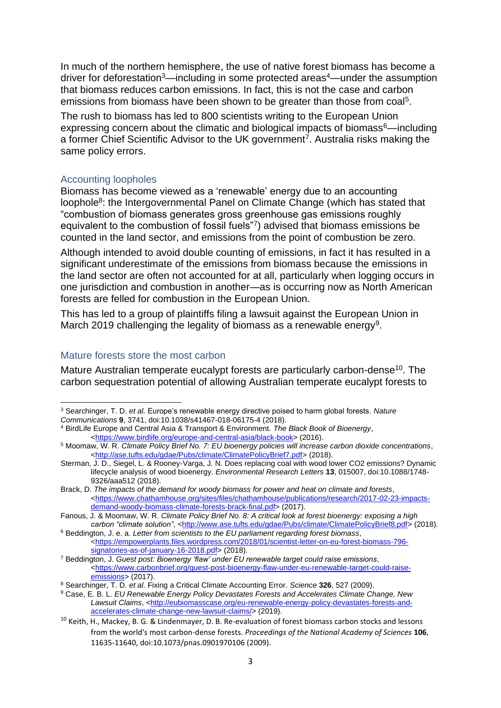In much of the northern hemisphere, the use of native forest biomass has become a driver for deforestation<sup>3</sup>—including in some protected areas<sup>4</sup>—under the assumption that biomass reduces carbon emissions. In fact, this is not the case and carbon emissions from biomass have been shown to be greater than those from coal<sup>5</sup>.

The rush to biomass has led to 800 scientists writing to the European Union expressing concern about the climatic and biological impacts of biomass<sup>6</sup>—including a former Chief Scientific Advisor to the UK government<sup>7</sup>. Australia risks making the same policy errors.

#### Accounting loopholes

Biomass has become viewed as a 'renewable' energy due to an accounting loophole<sup>8</sup>: the Intergovernmental Panel on Climate Change (which has stated that "combustion of biomass generates gross greenhouse gas emissions roughly equivalent to the combustion of fossil fuels"<sup>7</sup> ) advised that biomass emissions be counted in the land sector, and emissions from the point of combustion be zero.

Although intended to avoid double counting of emissions, in fact it has resulted in a significant underestimate of the emissions from biomass because the emissions in the land sector are often not accounted for at all, particularly when logging occurs in one jurisdiction and combustion in another—as is occurring now as North American forests are felled for combustion in the European Union.

This has led to a group of plaintiffs filing a lawsuit against the European Union in March 2019 challenging the legality of biomass as a renewable energy<sup>9</sup>.

#### Mature forests store the most carbon

Mature Australian temperate eucalypt forests are particularly carbon-dense<sup>10</sup>. The carbon sequestration potential of allowing Australian temperate eucalypt forests to

<sup>3</sup> Searchinger, T. D. *et al.* Europe's renewable energy directive poised to harm global forests. *Nature Communications* **9**, 3741, doi:10.1038/s41467-018-06175-4 (2018).

<sup>4</sup> BirdLife Europe and Central Asia & Transport & Environment. *The Black Book of Bioenergy*, [<https://www.birdlife.org/europe-and-central-asia/black-book>](https://www.birdlife.org/europe-and-central-asia/black-book) (2016).

<sup>5</sup> Moomaw, W. R. *Climate Policy Brief No. 7: EU bioenergy policies will increase carbon dioxide concentrations*, [<http://ase.tufts.edu/gdae/Pubs/climate/ClimatePolicyBrief7.pdf>](http://ase.tufts.edu/gdae/Pubs/climate/ClimatePolicyBrief7.pdf) (2018).

Sterman, J. D., Siegel, L. & Rooney-Varga, J. N. Does replacing coal with wood lower CO2 emissions? Dynamic lifecycle analysis of wood bioenergy. *Environmental Research Letters* **13**, 015007, doi:10.1088/1748- 9326/aaa512 (2018).

Brack, D. *The impacts of the demand for woody biomass for power and heat on climate and forests*, [<https://www.chathamhouse.org/sites/files/chathamhouse/publications/research/2017-02-23-impacts](https://www.chathamhouse.org/sites/files/chathamhouse/publications/research/2017-02-23-impacts-demand-woody-biomass-climate-forests-brack-final.pdf)[demand-woody-biomass-climate-forests-brack-final.pdf>](https://www.chathamhouse.org/sites/files/chathamhouse/publications/research/2017-02-23-impacts-demand-woody-biomass-climate-forests-brack-final.pdf) (2017).

Fanous, J. & Moomaw, W. R. *Climate Policy Brief No. 8: A critical look at forest bioenergy: exposing a high*  carbon "climate solution", [<http://www.ase.tufts.edu/gdae/Pubs/climate/ClimatePolicyBrief8.pdf>](http://www.ase.tufts.edu/gdae/Pubs/climate/ClimatePolicyBrief8.pdf) (2018).

<sup>6</sup> Beddington, J. e. a. *Letter from scientists to the EU parliament regarding forest biomass*,  $\leq$ https://empowerplants.files.wordpress.com/2018/01/scientist-letter-on-eu-forest-biomass-796[signatories-as-of-january-16-2018.pdf>](https://empowerplants.files.wordpress.com/2018/01/scientist-letter-on-eu-forest-biomass-796-signatories-as-of-january-16-2018.pdf) (2018).

<sup>7</sup> Beddington, J. *Guest post: Bioenergy 'flaw' under EU renewable target could raise emissions*, [<https://www.carbonbrief.org/guest-post-bioenergy-flaw-under-eu-renewable-target-could-raise](https://www.carbonbrief.org/guest-post-bioenergy-flaw-under-eu-renewable-target-could-raise-emissions)[emissions>](https://www.carbonbrief.org/guest-post-bioenergy-flaw-under-eu-renewable-target-could-raise-emissions) (2017).

<sup>8</sup> Searchinger, T. D. *et al.* Fixing a Critical Climate Accounting Error. *Science* **326**, 527 (2009).

<sup>9</sup> Case, E. B. L. *EU Renewable Energy Policy Devastates Forests and Accelerates Climate Change, New*  Lawsuit Claims, [<http://eubiomasscase.org/eu-renewable-energy-policy-devastates-forests-and](http://eubiomasscase.org/eu-renewable-energy-policy-devastates-forests-and-accelerates-climate-change-new-lawsuit-claims/)[accelerates-climate-change-new-lawsuit-claims/>](http://eubiomasscase.org/eu-renewable-energy-policy-devastates-forests-and-accelerates-climate-change-new-lawsuit-claims/) (2019).

<sup>&</sup>lt;sup>10</sup> Keith, H., Mackey, B. G. & Lindenmayer, D. B. Re-evaluation of forest biomass carbon stocks and lessons from the world's most carbon-dense forests. *Proceedings of the National Academy of Sciences* **106**, 11635-11640, doi:10.1073/pnas.0901970106 (2009).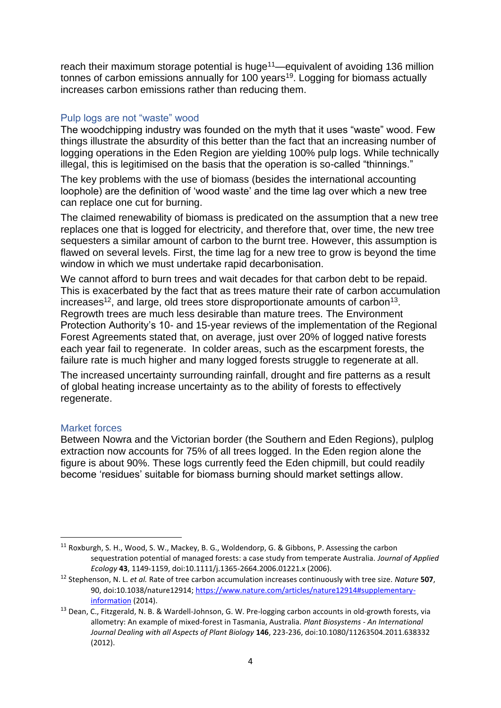reach their maximum storage potential is huge<sup>11</sup>—equivalent of avoiding 136 million tonnes of carbon emissions annually for 100 years<sup>19</sup>. Logging for biomass actually increases carbon emissions rather than reducing them.

#### Pulp logs are not "waste" wood

The woodchipping industry was founded on the myth that it uses "waste" wood. Few things illustrate the absurdity of this better than the fact that an increasing number of logging operations in the Eden Region are yielding 100% pulp logs. While technically illegal, this is legitimised on the basis that the operation is so-called "thinnings."

The key problems with the use of biomass (besides the international accounting loophole) are the definition of 'wood waste' and the time lag over which a new tree can replace one cut for burning.

The claimed renewability of biomass is predicated on the assumption that a new tree replaces one that is logged for electricity, and therefore that, over time, the new tree sequesters a similar amount of carbon to the burnt tree. However, this assumption is flawed on several levels. First, the time lag for a new tree to grow is beyond the time window in which we must undertake rapid decarbonisation.

We cannot afford to burn trees and wait decades for that carbon debt to be repaid. This is exacerbated by the fact that as trees mature their rate of carbon accumulation increases<sup>12</sup>, and large, old trees store disproportionate amounts of carbon<sup>13</sup>. Regrowth trees are much less desirable than mature trees. The Environment Protection Authority's 10- and 15-year reviews of the implementation of the Regional Forest Agreements stated that, on average, just over 20% of logged native forests each year fail to regenerate. In colder areas, such as the escarpment forests, the failure rate is much higher and many logged forests struggle to regenerate at all.

The increased uncertainty surrounding rainfall, drought and fire patterns as a result of global heating increase uncertainty as to the ability of forests to effectively regenerate.

#### Market forces

Between Nowra and the Victorian border (the Southern and Eden Regions), pulplog extraction now accounts for 75% of all trees logged. In the Eden region alone the figure is about 90%. These logs currently feed the Eden chipmill, but could readily become 'residues' suitable for biomass burning should market settings allow.

<sup>11</sup> Roxburgh, S. H., Wood, S. W., Mackey, B. G., Woldendorp, G. & Gibbons, P. Assessing the carbon sequestration potential of managed forests: a case study from temperate Australia. *Journal of Applied Ecology* **43**, 1149-1159, doi:10.1111/j.1365-2664.2006.01221.x (2006).

<sup>12</sup> Stephenson, N. L. *et al.* Rate of tree carbon accumulation increases continuously with tree size. *Nature* **507**, 90, doi:10.1038/nature12914[; https://www.nature.com/articles/nature12914#supplementary](https://www.nature.com/articles/nature12914#supplementary-information)[information](https://www.nature.com/articles/nature12914#supplementary-information) (2014).

<sup>&</sup>lt;sup>13</sup> Dean, C., Fitzgerald, N. B. & Wardell-Johnson, G. W. Pre-logging carbon accounts in old-growth forests, via allometry: An example of mixed-forest in Tasmania, Australia. *Plant Biosystems - An International Journal Dealing with all Aspects of Plant Biology* **146**, 223-236, doi:10.1080/11263504.2011.638332 (2012).